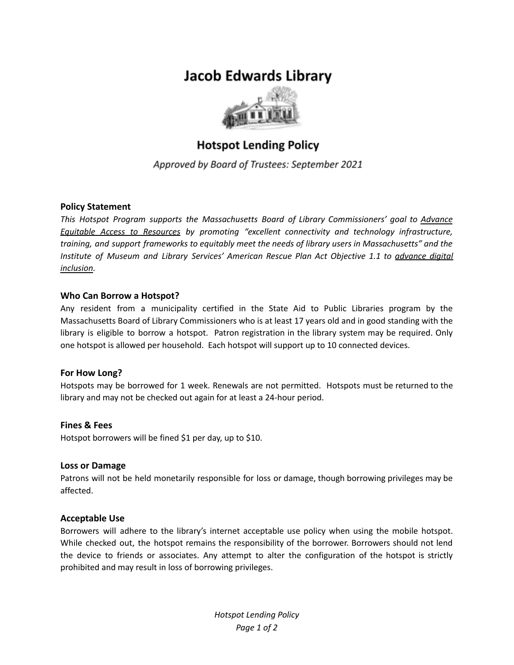# **Jacob Edwards Library**



# **Hotspot Lending Policy**

Approved by Board of Trustees: September 2021

#### **Policy Statement**

*This Hotspot Program supports the Massachusetts Board of Library Commissioners' goal to [Advance](https://mblc.state.ma.us/about-us/strategic-plan) Equitable Access to [Resources](https://mblc.state.ma.us/about-us/strategic-plan) by promoting "excellent connectivity and technology infrastructure, training, and support frameworks to equitably meet the needs of library users in Massachusetts" and the Institute of Museum and Library Services' American Rescue Plan Act Objective 1.1 to [advance](https://www.imls.gov/sites/default/files/2021-05/fy21-arp-nofo.pdf) digital [inclusion](https://www.imls.gov/sites/default/files/2021-05/fy21-arp-nofo.pdf).*

#### **Who Can Borrow a Hotspot?**

Any resident from a municipality certified in the State Aid to Public Libraries program by the Massachusetts Board of Library Commissioners who is at least 17 years old and in good standing with the library is eligible to borrow a hotspot. Patron registration in the library system may be required. Only one hotspot is allowed per household. Each hotspot will support up to 10 connected devices.

# **For How Long?**

Hotspots may be borrowed for 1 week. Renewals are not permitted. Hotspots must be returned to the library and may not be checked out again for at least a 24-hour period.

#### **Fines & Fees**

Hotspot borrowers will be fined \$1 per day, up to \$10.

#### **Loss or Damage**

Patrons will not be held monetarily responsible for loss or damage, though borrowing privileges may be affected.

#### **Acceptable Use**

Borrowers will adhere to the library's internet acceptable use policy when using the mobile hotspot. While checked out, the hotspot remains the responsibility of the borrower. Borrowers should not lend the device to friends or associates. Any attempt to alter the configuration of the hotspot is strictly prohibited and may result in loss of borrowing privileges.

> *Hotspot Lending Policy Page 1 of 2*